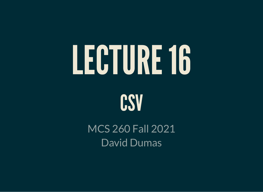# LECTURE16



MCS 260 Fall 2021 David Dumas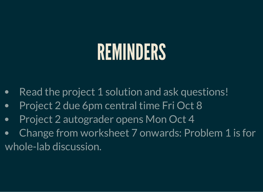# REMINDERS

- Read the project 1 solution and ask questions!  $\bullet$
- Project 2 due 6pm central time Fri Oct 8
- Project 2 autograder opens Mon Oct 4  $\bullet$
- Change from worksheet 7 onwards: Problem 1 is for  $\bullet$ whole-lab discussion.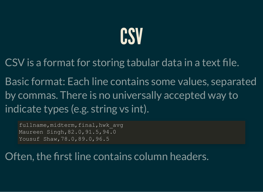#### CSV

CSV is a format for storing tabular data in a text file.

Basic format: Each line contains some values, separated by commas. There is no universally accepted way to indicate types (e.g. string vs int).

fullname, midterm, final, hwk avg Maureen Singh,82.0,91.5,94.0 Yousuf Shaw,78.0,89.0,96.5

Often, the first line contains column headers.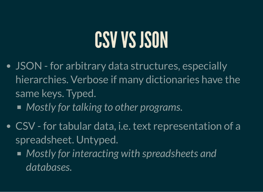#### CSV VS JSON

- JSON for arbitrary data structures, especially hierarchies. Verbose if many dictionaries have the same keys. Typed.
	- *Mostly for talking to other programs.*
- CSV for tabular data, i.e. text representation of a spreadsheet. Untyped.
	- *Mostly for interacting with spreadsheets and databases.*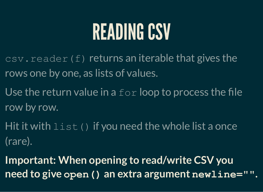#### READING CSV

- $\overline{\text{csv} \cdot \text{reader}(f)}$  returns an iterable that gives the rows one by one, as lists of values.
- Use the return value in a  $for$  loop to process the file row by row.
- Hit it with  $list \in (x)$  if you need the whole list a once (rare).
- **Important: When opening to read/write CSV you need to give open() an extra argument newline="".**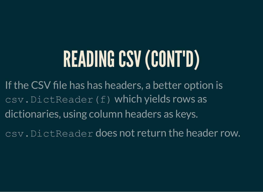# READING CSV (CONT'D)

If the CSV file has has headers, a better option is csv.DictReader(f) which yields rows as dictionaries, using column headers as keys.

csv.DictReader does not return the header row.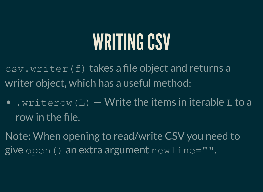#### WRITING CSV

csv.writer(f) takes a file object and returns a writer object, which has a useful method:

- $\bullet$  . writerow (L)  $-$  Write the items in iterable L to a row in the file.
- Note: When opening to read/write CSV you need to give open() an extra argument  $newline="".$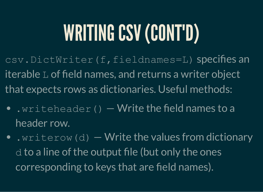# WRITING CSV (CONT'D)

csv.DictWriter(f,fieldnames=L) specifies an iterable L of field names, and returns a writer object that expects rows as dictionaries. Useful methods:

- $\lceil \frac{1}{2} \rceil$  write the field names to a header row.
- $\cdot$  writerow (d)  $-$  Write the values from dictionary d to a line of the output file (but only the ones corresponding to keys that are field names).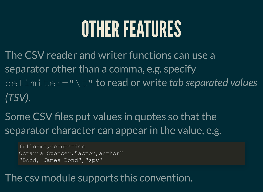#### OTHER FEATURES

- The CSV reader and writer functions can use a separator other than a comma, e.g. specify delimiter="\t" to read or write *tab separated values (TSV)*.
- Some CSV files put values in quotes so that the separator character can appear in the value, e.g.

fullname,occupation Octavia Spencer, "actor, author" "Bond, James Bond","spy"

#### The csv module supports this convention.